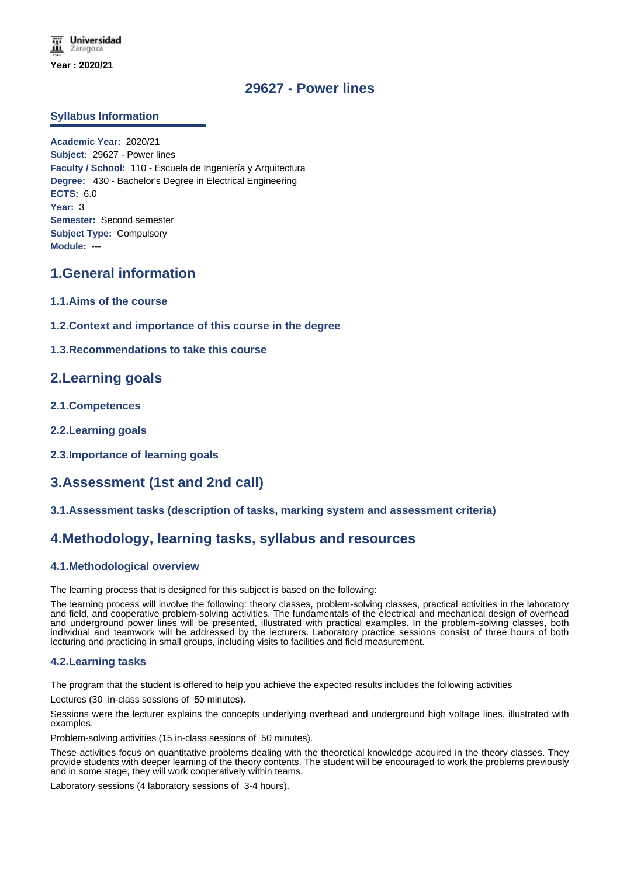# **29627 - Power lines**

### **Syllabus Information**

**Academic Year:** 2020/21 **Subject:** 29627 - Power lines **Faculty / School:** 110 - Escuela de Ingeniería y Arquitectura **Degree:** 430 - Bachelor's Degree in Electrical Engineering **ECTS:** 6.0 **Year:** 3 **Semester:** Second semester **Subject Type:** Compulsory **Module:** ---

# **1.General information**

- **1.1.Aims of the course**
- **1.2.Context and importance of this course in the degree**

### **1.3.Recommendations to take this course**

# **2.Learning goals**

- **2.1.Competences**
- **2.2.Learning goals**
- **2.3.Importance of learning goals**

# **3.Assessment (1st and 2nd call)**

#### **3.1.Assessment tasks (description of tasks, marking system and assessment criteria)**

# **4.Methodology, learning tasks, syllabus and resources**

### **4.1.Methodological overview**

The learning process that is designed for this subject is based on the following:

The learning process will involve the following: theory classes, problem-solving classes, practical activities in the laboratory and field, and cooperative problem-solving activities. The fundamentals of the electrical and mechanical design of overhead and underground power lines will be presented, illustrated with practical examples. In the problem-solving classes, both individual and teamwork will be addressed by the lecturers. Laboratory practice sessions consist of three hours of both lecturing and practicing in small groups, including visits to facilities and field measurement.

#### **4.2.Learning tasks**

The program that the student is offered to help you achieve the expected results includes the following activities

Lectures (30 in-class sessions of 50 minutes).

Sessions were the lecturer explains the concepts underlying overhead and underground high voltage lines, illustrated with examples.

Problem-solving activities (15 in-class sessions of 50 minutes).

These activities focus on quantitative problems dealing with the theoretical knowledge acquired in the theory classes. They provide students with deeper learning of the theory contents. The student will be encouraged to work the problems previously and in some stage, they will work cooperatively within teams.

Laboratory sessions (4 laboratory sessions of 3-4 hours).